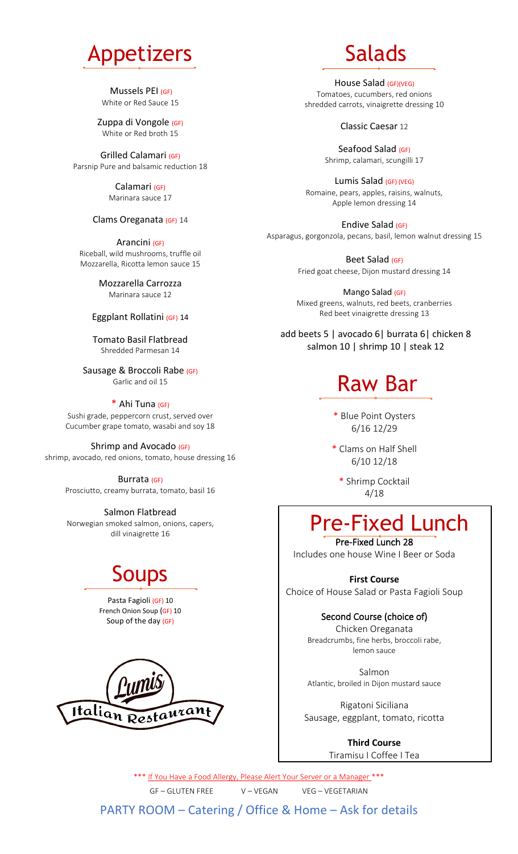

Mussels PEI (GF) White or Red Sauce 15

Zuppa di Vongole (GF) White or Red broth 15

Grilled Calamari (GF) Parsnip Pure and balsamic reduction 18

> Calamari (GF) Marinara sauce 17

#### Clams Oreganata (GF) 14

Arancini (GF) Riceball, wild mushrooms, truffle oil Mozzarella, Ricotta lemon sauce 15

> Mozzarella Carrozza Marinara sauce 12

#### Eggplant Rollatini (GF) 14

Tomato Basil Flatbread Shredded Parmesan 14

Sausage & Broccoli Rabe (GF) Garlic and oil 15

\* Ahi Tuna (GF) Sushi grade, peppercorn crust, served over

Cucumber grape tomato, wasabi and soy 18 Shrimp and Avocado (GF)

shrimp, avocado, red onions, tomato, house dressing 16

Burrata (GF) Prosciutto, creamy burrata, tomato, basil 16

Salmon Flatbread Norwegian smoked salmon, onions, capers, dill vinaigrette 16

### Soups

Pasta Fagioli (GF) 10 French Onion Soup (GF) 10 Soup of the day (GF)



## Salads

House Salad (GF)(VEG) Tomatoes, cucumbers, red onions shredded carrots, vinaigrette dressing 10

#### Classic Caesar 12

Seafood Salad (GF) Shrimp, calamari, scungilli 17

Lumis Salad (GF) (VEG) Romaine, pears, apples, raisins, walnuts, Apple lemon dressing 14

Endive Salad (GF) Asparagus, gorgonzola, pecans, basil, lemon walnut dressing 15

> Beet Salad (GF) Fried goat cheese, Dijon mustard dressing 14

> Mango Salad (GF) Mixed greens, walnuts, red beets, cranberries Red beet vinaigrette dressing 13

add beets 5 | avocado 6| burrata 6| chicken 8 salmon 10 | shrimp 10 | steak 12

### Raw Bar

\* Blue Point Oysters 6/16 12/29

\* Clams on Half Shell 6/10 12/18

\* Shrimp Cocktail 4/18

### Pre-Fixed Lunch

Pre-Fixed Lunch 28 Includes one house Wine I Beer or Soda

**First Course** Choice of House Salad or Pasta Fagioli Soup

#### Second Course (choice of)

Chicken Oreganata Breadcrumbs, fine herbs, broccoli rabe, lemon sauce

Salmon Atlantic, broiled in Dijon mustard sauce

Rigatoni Siciliana Sausage, eggplant, tomato, ricotta

> **Third Course** Tiramisu I Coffee I Tea

\*\*\* If You Have a Food Allergy, Please Alert Your Server or a Manager \*\*\* GF – GLUTEN FREE V – VEGAN VEG – VEGETARIAN

PARTY ROOM – Catering / Office & Home – Ask for details